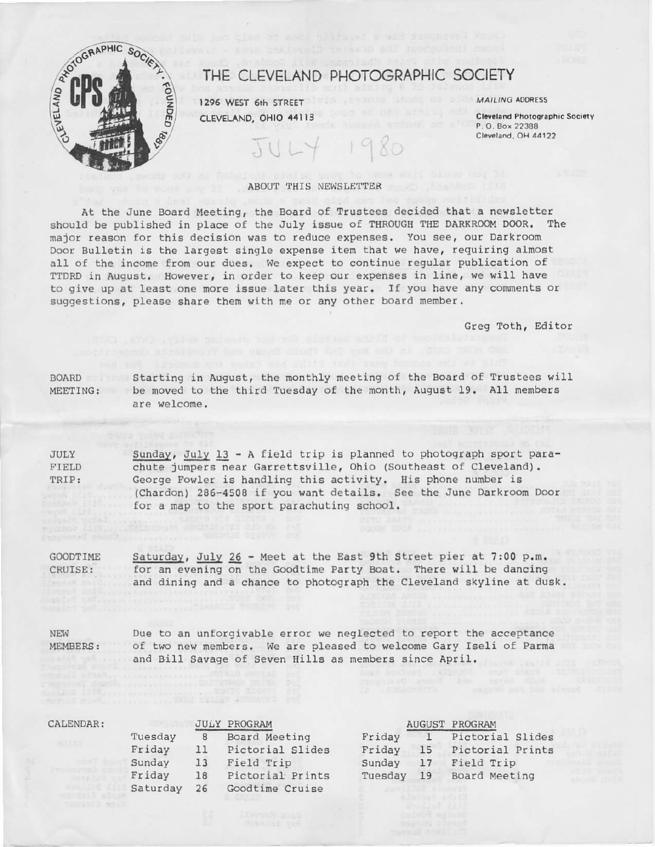

# THE CLEVELAND PHOTOGRAPHIC SOCIETY

1296 WEST 6th STREET CLEVELAND, OHIO 44113 MAILING ADDRESS

**Cleveland Photographic Society** P.O. Box 22388 Cleveland, OH 44122

## ABOUT THIS NEWSLETTER

At the June Board Meeting, the Board of Trustees decided that a newsletter should be published in place of the July issue of THROUGH THE DARKROOM DOOR. The major reason for this decision was to reduce expenses. You see, our Darkroom Door Bulletin is the largest single expense item that we have, requiring almost all of the income from our dues. We expect to continue regular publication of TTDRD in August. However, in order to keep our expenses in line, we will have to give up at least one more issue later this year. If you have any comments or suggestions, please share them with me or any other board member.

Greg Toth, Editor

BOARD Starting in August, the monthly meeting of the Board of Trustees will MEETING: be moved to the third Tuesday of the month, August 19. All members are welcome.

Sunday, July 13 - A field trip is planned to photograph sport para-**JULY** chute jumpers near Garrettsville, Ohio (Southeast of Cleveland). FIELD George Fowler is handling this activity. His phone number is TRIP: (Chardon) 286-4508 if you want details. See the June Darkroom Door for a map to the sport parachuting school.

Saturday, July 26 - Meet at the East 9th Street pier at 7:00 p.m. **GOODTIME** CRUISE: for an evening on the Goodtime Party Boat. There will be dancing and dining and a chance to photograph the Cleveland skyline at dusk.

NEW Due to an unforgivable error we neglected to report the acceptance **MEMBERS:** of two new members. We are pleased to welcome Gary Iseli of Parma and Bill Savage of Seven Hills as members since April.

| CALENDAR: |          |    | <b>JULY PROGRAM</b> |         |              | <b>AUGUST PROGRAM</b> |
|-----------|----------|----|---------------------|---------|--------------|-----------------------|
|           | Tuesday  | 8  | Board Meeting       | Friday  | $\mathbf{1}$ | Pictorial Slides      |
|           | Friday   | 11 | Pictorial Slides    | Friday  | 15           | Pictorial Prints      |
|           | Sunday   | 13 | Field Trip          | Sunday  | 17           | Field Trip            |
|           | Friday   | 18 | Pictorial Prints    | Tuesday | 19           | Board Meeting         |
|           | Saturday |    | 26 Coodtime Cruise  |         |              |                       |